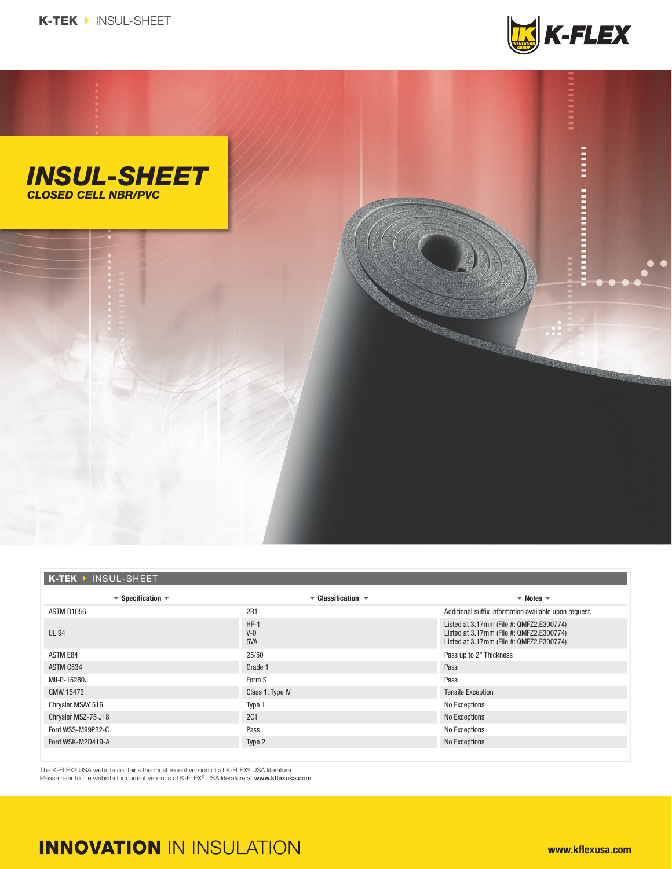



| K-TEK > INSUL-SHEET                                     |                                                            |                                                                                                                                  |
|---------------------------------------------------------|------------------------------------------------------------|----------------------------------------------------------------------------------------------------------------------------------|
| $\blacktriangledown$ Specification $\blacktriangledown$ | $\blacktriangleright$ Classification $\blacktriangleright$ | $\blacktriangledown$ Notes $\blacktriangledown$                                                                                  |
| ASTM D1056                                              | 2B1                                                        | Additional suffix information available upon request.                                                                            |
| <b>UL 94</b>                                            | $HF-1$<br>$V-0$<br>5VA                                     | Listed at 3.17mm (File #: QMFZ2.E300774)<br>Listed at 3.17mm (File #: QMFZ2.E300774)<br>Listed at 3.17mm (File #: QMFZ2.E300774) |
| ASTM E84                                                | 25/50                                                      | Pass up to 2" Thickness                                                                                                          |
| ASTM C534                                               | Grade 1                                                    | Pass                                                                                                                             |
| Mil-P-15280J                                            | Form S                                                     | Pass                                                                                                                             |
| GMW 15473                                               | Class 1, Type IV                                           | <b>Tensile Exception</b>                                                                                                         |
| Chrysler MSAY 516                                       | Type 1                                                     | No Exceptions                                                                                                                    |
| Chrysler MSZ-75 J18                                     | <b>2C1</b>                                                 | No Exceptions                                                                                                                    |
| Ford WSS-M99P32-C                                       | Pass                                                       | No Exceptions                                                                                                                    |
| Ford WSK-M2D419-A                                       | Type 2                                                     | No Exceptions                                                                                                                    |
|                                                         |                                                            |                                                                                                                                  |

The K-FLEX® USA website contains the most recent version of all K-FLEX® USA literature. Please refer to the website for current versions of K-FLEX® USA literature at www.kflexusa.com

## **INNOVATION IN INSULATION**